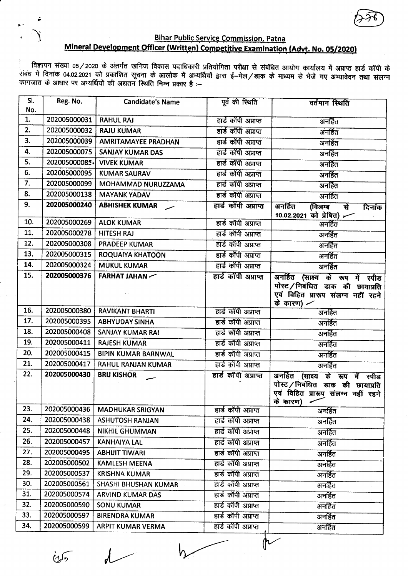

## **Bihar Public Service Commission, Patna** Mineral Development Officer (Written) Competitive Examination (Advt. No. 05/2020)

े विज्ञापन संख्या 05/2020 के अंतर्गत खनिज विकास पदाधिकारी प्रतियोगिता परीक्षा से संबंधित आयोग कार्यालय में अप्राप्त हार्ड कॉपी के<br>संबंध में दिनांक 04.02.2021 को प्रकाशित सूचना के आलोक में अभ्यर्थियों द्वारा ई—मेल/डाक के म

| SI.<br>No. | Reg. No.      | <b>Candidate's Name</b>    | पूर्व की स्थिति      | वर्तमान स्थिति                                                                                                        |
|------------|---------------|----------------------------|----------------------|-----------------------------------------------------------------------------------------------------------------------|
| 1.         | 202005000031  | <b>RAHUL RAJ</b>           | हार्ड कॉपी अप्राप्त  | अनहित                                                                                                                 |
| 2.         | 202005000032  | <b>RAJU KUMAR</b>          | हार्ड कॉपी अप्राप्त  | अनर्हित                                                                                                               |
| 3.         | 202005000039  | <b>AMRITAMAYEE PRADHAN</b> | हार्ड कॉपी अप्राप्त  | अनर्हित                                                                                                               |
| 4.         | 202005000075  | <b>SANJAY KUMAR DAS</b>    | हार्ड कॉपी अप्राप्त  | अनर्हित                                                                                                               |
| 5.         | 202005000085- | <b>VIVEK KUMAR</b>         | हार्ड कॉपी अप्राप्त  | अनर्हित                                                                                                               |
| G.         | 202005000095  | <b>KUMAR SAURAV</b>        | हार्ड कॉपी अप्राप्त  | अनर्हित                                                                                                               |
| 7.         | 202005000099  | MOHAMMAD NURUZZAMA         | हार्ड काँपी अप्राप्त | अनर्हित                                                                                                               |
| 8.         | 202005000138  | <b>MAYANK YADAV</b>        | हार्ड कॉपी अप्राप्त  | अनर्हित                                                                                                               |
| 9.         | 202005000240  | <b>ABHISHEK KUMAR</b>      | हार्ड कॉपी अप्राप्त  | अनर्हित<br>(विलम्ब<br>र्स<br>दिनांक<br>10.02.2021 को प्रेषित)                                                         |
| 10.        | 202005000269  | <b>ALOK KUMAR</b>          | हार्ड कॉपी अप्राप्त  | अनहित                                                                                                                 |
| 11.        | 202005000278  | <b>HITESH RAJ</b>          | हार्ड कॉपी अप्राप्त  | अनर्हित                                                                                                               |
| 12.        | 202005000308  | <b>PRADEEP KUMAR</b>       | हार्ड कॉपी अप्राप्त  | अनर्हित                                                                                                               |
| 13.        | 202005000315  | ROQUAIYA KHATOON           | हार्ड कॉपी अप्राप्त  | अनर्हित                                                                                                               |
| 14.        | 202005000324  | <b>MUKUL KUMAR</b>         | हार्ड कॉपी अप्राप्त  | अनर्हित                                                                                                               |
| 15.        | 202005000376  | FARHAT JAHAN               | हार्ड कॉपी अप्राप्त  | अनर्हित (साक्ष्य के रूप में स्पीड<br>पोस्ट/निबंधित डाक की छायाप्रति                                                   |
|            |               |                            |                      | एवं विहित प्रारूप संलग्न नहीं रहने<br>के कारण) $\angle$                                                               |
| 16.        | 202005000380  | <b>RAVIKANT BHARTI</b>     | हार्ड कॉपी अप्राप्त  | अनर्हित                                                                                                               |
| 17.        | 202005000395  | <b>ABHYUDAY SINHA</b>      | हार्ड कॉपी अप्राप्त  | अनर्हित                                                                                                               |
| 18.        | 202005000408  | <b>SANJAY KUMAR RAI</b>    | हार्ड कॉपी अप्राप्त  | अनर्हित                                                                                                               |
| 19.        | 202005000411  | <b>RAJESH KUMAR</b>        | हार्ड कॉपी अप्राप्त  | अनर्हित                                                                                                               |
| 20.        | 202005000415  | <b>BIPIN KUMAR BARNWAL</b> | हार्ड कॉपी अप्राप्त  | अनर्हित                                                                                                               |
| 21.        | 202005000417  | RAHUL RANJAN KUMAR         | हार्ड कॉपी अप्राप्त  | अनर्हित                                                                                                               |
| 22.        | 202005000430  | <b>BRIJ KISHOR</b>         | हार्ड कॉपी अप्राप्त  | अनर्हित (साक्ष्य के रूप में स्पीड<br>पोस्ट/निबंधित डाक की छायाप्रति<br>एवं विहित प्रारूप संलग्न नहीं रहने<br>के कारण) |
| 23.        | 202005000436  | <b>MADHUKAR SRIGYAN</b>    | हार्ड कॉपी अप्राप्त  | अनर्हित                                                                                                               |
| 24.        | 202005000438  | <b>ASHUTOSH RANJAN</b>     | हार्ड कॉपी अप्राप्त  | अनहित                                                                                                                 |
| 25.        | 202005000448  | <b>NIKHIL GHUMMAN</b>      | हार्ड कॉपी अप्राप्त  | अनर्हित                                                                                                               |
| 26.        | 202005000457  | <b>KANHAIYA LAL</b>        | हार्ड कॉपी अप्राप्त  | अनर्हित                                                                                                               |
| 27.        | 202005000495  | <b>ABHIJIT TIWARI</b>      | हार्ड कॉपी अप्राप्त  | अनर्हित                                                                                                               |
| 28.        | 202005000502  | <b>KAMLESH MEENA</b>       | हार्ड कॉपी अप्राप्त  | अनर्हित                                                                                                               |
| 29.        | 202005000537  | <b>KRISHNA KUMAR</b>       | हार्ड कॉपी अप्राप्त  | अनहित                                                                                                                 |
| 30.        | 202005000561  | SHASHI BHUSHAN KUMAR       | हार्ड कॉपी अप्राप्त  | अनर्हित                                                                                                               |
| 31.        | 202005000574  | ARVIND KUMAR DAS           | हार्ड कॉपी अप्राप्त  | अनर्हित                                                                                                               |
| 32.        | 202005000590  | <b>SONU KUMAR</b>          | हार्ड कॉपी अप्राप्त  | अनर्हित                                                                                                               |
| 33.        | 202005000597  | <b>BIRENDRA KUMAR</b>      | हार्ड कॉपी अप्राप्त  | अनर्हित                                                                                                               |
| 34.        | 202005000599  | <b>ARPIT KUMAR VERMA</b>   | हार्ड कॉपी अप्राप्त  | अनर्हित                                                                                                               |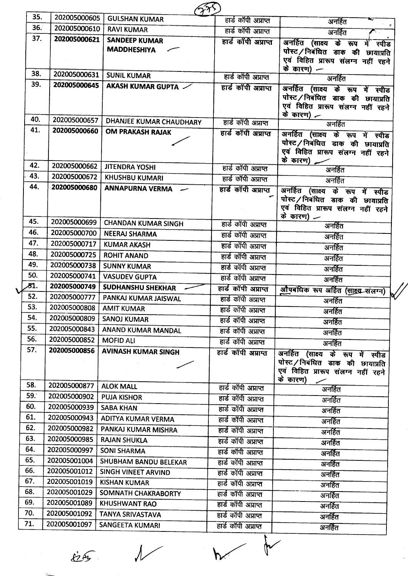| 35.        | 202005000605                 | <b>GULSHAN KUMAR</b>                       | हार्ड कॉपी अप्राप्त                        | अनर्हित                                                                                                                   |
|------------|------------------------------|--------------------------------------------|--------------------------------------------|---------------------------------------------------------------------------------------------------------------------------|
| 36.<br>37. | 202005000610                 | <b>RAVI KUMAR</b>                          | हार्ड कॉपी अप्राप्त                        | अनर्हित                                                                                                                   |
|            | 202005000621                 | <b>SANDEEP KUMAR</b><br><b>MADDHESHIYA</b> | हार्ड काँपी अप्राप्त                       | अनर्हित (साक्ष्य के रूप में स्पीड<br>पोस्ट/निबंधित डाक की छायाप्रति<br>एवं विहित प्रारूप संलग्न नहीं रहने<br>के कारण) $-$ |
| 38.        | 202005000631                 | <b>SUNIL KUMAR</b>                         | हार्ड कॉपी अप्राप्त                        | अनहित                                                                                                                     |
| 39.        | 202005000645                 | AKASH KUMAR GUPTA                          | हार्ड कॉपी अप्राप्त                        | अनर्हित (साक्ष्य के रूप में स्पीड<br>पोस्ट / निबंधित डाक की छायाप्रति<br>एवं विहित प्रारूप संलग्न नहीं रहने<br>के कारण) — |
| 40.        | 202005000657                 | <b>DHANJEE KUMAR CHAUDHARY</b>             | हार्ड कॉपी अप्राप्त                        | अनर्हित                                                                                                                   |
| 41.        | 202005000660                 | <b>OM PRAKASH RAJAK</b>                    | हार्ड कॉपी अप्राप्त                        | अनर्हित (साक्ष्य के रूप में स्पीड<br>पोस्ट/निबंधित डाक की छायाप्रति<br>एवं विहित प्रारूप संलग्न नहीं रहने<br>के कारण)     |
| 42.        | 202005000662                 | <b>JITENDRA YOSHI</b>                      | हार्ड कॉपी अप्राप्त                        | अनर्हित                                                                                                                   |
| 43.        | 202005000672                 | <b>KHUSHBU KUMARI</b>                      | हार्ड कॉपी अप्राप्त                        | अनर्हित                                                                                                                   |
| 44.        | 202005000680                 | <b>ANNAPURNA VERMA</b>                     | हार्ड कॉपी अप्राप्त                        | अनर्हित (साक्ष्य के रूप में स्पीड<br>पोस्ट/निबंधित डाक की छायाप्रति<br>एवं विहित प्रारूप संलग्न नहीं रहने<br>के कारण) $-$ |
| 45.        | 202005000699                 | <b>CHANDAN KUMAR SINGH</b>                 | हार्ड कॉपी अप्राप्त                        | अनर्हित                                                                                                                   |
| 46.        | 202005000700                 | <b>NEERAJ SHARMA</b>                       | हार्ड कॉपी अप्राप्त                        | अनर्हित                                                                                                                   |
| 47.        | 202005000717                 | <b>KUMAR AKASH</b>                         | हार्ड काँपी अप्राप्त                       | अनहित                                                                                                                     |
| 48.        | 202005000725                 | <b>ROHIT ANAND</b>                         | हार्ड कॉपी अप्राप्त                        | अनर्हित                                                                                                                   |
| 49.        | 202005000738                 | <b>SUNNY KUMAR</b>                         | हार्ड कॉपी अप्राप्त                        | अनर्हित                                                                                                                   |
| 50.        | 202005000741                 | <b>VASUDEV GUPTA</b>                       | हार्ड कॉपी अप्राप्त                        | अनर्हित                                                                                                                   |
| 81.<br>52. | 202005000749<br>202005000777 | <b>SUDHANSHU SHEKHAR</b>                   | हार्ड कॉपी अप्राप्त                        | औपबंधिक रूप अर्हित (सांस्य संलग्न)                                                                                        |
| 53.        | 202005000808                 | PANKAJ KUMAR JAISWAL                       | हार्ड कॉपी अप्राप्त                        | अनर्हित                                                                                                                   |
| 54.        | 202005000809                 | <b>AMIT KUMAR</b><br><b>SANOJ KUMAR</b>    | हार्ड काँपी अप्राप्त                       | अनर्हित                                                                                                                   |
| 55.        | 202005000843                 | ANAND KUMAR MANDAL                         | हार्ड कॉपी अप्राप्त                        | अनर्हित                                                                                                                   |
| 56.        | 202005000852                 | <b>MOFID ALI</b>                           | हार्ड कॉपी अप्राप्त<br>हार्ड कॉपी अप्राप्त | अनर्हित                                                                                                                   |
| 57.        | 202005000856                 | <b>AVINASH KUMAR SINGH</b>                 |                                            | अनर्हित                                                                                                                   |
|            |                              |                                            | हार्ड कॉपी अप्राप्त                        | अनर्हित<br>(साक्ष्य के रूप में स्पीड<br>पोस्ट/निबंधित डाक की छायाप्रति<br>एवं विहित प्रारूप संलग्न नहीं रहने<br>के कारण)  |
| 58.        | 202005000877                 | <b>ALOK MALL</b>                           | हार्ड कॉपी अप्राप्त                        | अनर्हित                                                                                                                   |
| 59.        | 202005000902                 | <b>PUJA KISHOR</b>                         | हार्ड कॉपी अप्राप्त                        | अनर्हित                                                                                                                   |
| 60.        | 202005000939                 | <b>SABA KHAN</b>                           | हार्ड कॉपी अप्राप्त                        | अनर्हित                                                                                                                   |
| 61.        | 202005000943                 | ADITYA KUMAR VERMA                         | हार्ड कॉपी अप्राप्त                        | अनर्हित                                                                                                                   |
| 62.        | 202005000982                 | PANKAJ KUMAR MISHRA                        | हार्ड कॉपी अप्राप्त                        | अनर्हित                                                                                                                   |
| 63.<br>64. | 202005000985                 | <b>RAJAN SHUKLA</b>                        | हार्ड कॉपी अप्राप्त                        | अनर्हित                                                                                                                   |
| 65.        | 202005000997                 | <b>SONI SHARMA</b>                         | हार्ड कॉपी अप्राप्त                        | अनर्हित                                                                                                                   |
| 66.        | 202005001004<br>202005001012 | SHUBHAM BANDU BELEKAR                      | हार्ड कॉपी अप्राप्त                        | अनर्हित                                                                                                                   |
| 67.        | 202005001019                 | SINGH VINEET ARVIND                        | हार्ड कॉपी अप्राप्त                        | अनर्हित                                                                                                                   |
| 68.        | 202005001029                 | <b>KISHAN KUMAR</b><br>SOMNATH CHAKRABORTY | हार्ड कॉपी अप्राप्त                        | अनर्हित                                                                                                                   |
| 69.        | 202005001089                 | <b>KHUSHWANT RAO</b>                       | हार्ड कॉपी अप्राप्त                        | अनर्हित                                                                                                                   |
| 70.        | 202005001092                 | TANYA SRIVASTAVA                           | हार्ड काँपी अप्राप्त                       | अनर्हित                                                                                                                   |
| 71.        | 202005001097                 | <b>SANGEETA KUMARI</b>                     | हार्ड कॉपी अप्राप्त<br>हार्ड कॉपी अप्राप्त | अनर्हित                                                                                                                   |
|            |                              |                                            |                                            | अनर्हित                                                                                                                   |

 $25.4$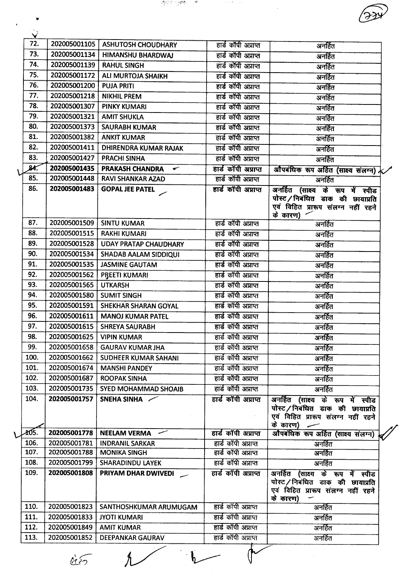| 72.  | 202005001105 | <b>ASHUTOSH CHOUDHARY</b>                   | हार्ड काँपी अप्राप्त | अनर्हित                                                                          |
|------|--------------|---------------------------------------------|----------------------|----------------------------------------------------------------------------------|
| 73.  | 202005001134 | <b>HIMANSHU BHARDWAJ</b>                    | हार्ड कॉपी अप्राप्त  | अनर्हित                                                                          |
| 74.  | 202005001139 | <b>RAHUL SINGH</b>                          | हार्ड काॅपी अप्राप्त | अनर्हित                                                                          |
| 75.  | 202005001172 | <b>ALI MURTOJA SHAIKH</b>                   | हार्ड कॉपी अप्राप्त  | अनहित                                                                            |
| 76.  | 202005001200 | <b>PUJA PRITI</b>                           | हार्ड कॉपी अप्राप्त  | अनर्हित                                                                          |
| 77.  | 202005001218 | <b>NIKHIL PREM</b>                          | हार्ड कॉपी अप्राप्त  | अनर्हित                                                                          |
| 78.  | 202005001307 | <b>PINKY KUMARI</b>                         | हार्ड कॉपी अप्राप्त  | अनर्हित                                                                          |
| 79.  | 202005001321 | <b>AMIT SHUKLA</b>                          | हार्ड कॉपी अप्राप्त  | अनर्हित                                                                          |
| 80.  | 202005001373 | <b>SAURABH KUMAR</b>                        | हार्ड कॉपी अप्राप्त  | अनर्हित                                                                          |
| 81.  | 202005001382 | <b>ANKIT KUMAR</b>                          | हार्ड कॉपी अप्राप्त  | अनर्हित                                                                          |
| 82.  | 202005001411 | <b>DHIRENDRA KUMAR RAJAK</b>                | हार्ड कॉपी अप्राप्त  | अनर्हित                                                                          |
| 83.  | 202005001427 | <b>PRACHI SINHA</b>                         | हार्ड कॉपी अप्राप्त  | अनर्हित                                                                          |
| 84.  | 202005001435 | PRAKASH CHANDRA<br>$\overline{\phantom{a}}$ | हार्ड कॉपी अप्राप्त  | औपबंधिक रूप अर्हित (साक्ष्य संलग्न) र                                            |
| 85.  | 202005001448 | <b>RAVI SHANKAR AZAD</b>                    | हार्ड कॉपी अप्राप्त  | अनहित                                                                            |
| 86.  | 202005001483 | <b>GOPAL JEE PATEL</b>                      | हार्ड कॉपी अप्राप्त  | अनर्हित (साक्ष्य के रूप में स्पीड                                                |
|      |              |                                             |                      | पोस्ट/निबंधित डाक की छायाप्रति                                                   |
|      |              |                                             |                      | एवं विहित प्रारूप संलग्न नहीं रहने                                               |
| 87.  | 202005001509 | <b>SINTU KUMAR</b>                          | हार्ड कॉपी अप्राप्त  | के कारण)                                                                         |
| 88.  | 202005001515 |                                             |                      | अनर्हित                                                                          |
| 89.  |              | <b>RAKHI KUMARI</b>                         | हार्ड कॉपी अप्राप्त  | अनहित                                                                            |
|      | 202005001528 | <b>UDAY PRATAP CHAUDHARY</b>                | हार्ड कॉपी अप्राप्त  | अनहित                                                                            |
| 90.  | 202005001534 | <b>SHADAB AALAM SIDDIQUI</b>                | हार्ड कॉपी अप्राप्त  | अनहित                                                                            |
| 91.  | 202005001535 | <b>JASMINE GAUTAM</b>                       | हार्ड कॉपी अप्राप्त  | अनर्हित                                                                          |
| 92.  | 202005001562 | PREETI KUMARI                               | हार्ड कॉपी अप्राप्त  | अनर्हित                                                                          |
| 93.  | 202005001565 | <b>UTKARSH</b>                              | हार्ड कॉपी अप्राप्त  | अनर्हित                                                                          |
| 94.  | 202005001580 | <b>SUMIT SINGH</b>                          | हार्ड कॉपी अप्राप्त  | अनर्हित                                                                          |
| 95.  | 202005001591 | SHEKHAR SHARAN GOYAL                        | हार्ड कॉपी अप्राप्त  | अनर्हित                                                                          |
| 96.  | 202005001611 | <b>MANOJ KUMAR PATEL</b>                    | हार्ड कॉपी अप्राप्त  | अनर्हित                                                                          |
| 97.  | 202005001615 | <b>SHREYA SAURABH</b>                       | हार्ड कॉपी अप्राप्त  | अनर्हित                                                                          |
| 98.  | 202005001625 | <b>VIPIN KUMAR</b>                          | हार्ड कॉपी अप्राप्त  | अनर्हित                                                                          |
| 99.  | 202005001658 | <b>GAURAV KUMAR JHA</b>                     | हार्ड कॉपी अप्राप्त  | अनर्हित                                                                          |
| 100. | 202005001662 | <b>SUDHEER KUMAR SAHANI</b>                 | हार्ड कॉपी अप्राप्त  | अनर्हित                                                                          |
| 101. | 202005001674 | <b>MANSHI PANDEY</b>                        | हार्ड कॉपी अप्राप्त  | अनर्हित                                                                          |
| 102. | 202005001687 | <b>ROOPAK SINHA</b>                         | हार्ड कॉपी अप्राप्त  | अनर्हित                                                                          |
| 103. | 202005001735 | <b>SYED MOHAMMAD SHOAIB</b>                 | हार्ड काँपी अप्राप्त | अनर्हित                                                                          |
| 104. | 202005001757 | SNEHA SINHA                                 | हार्ड कॉपी अप्राप्त  | अनर्हित (साक्ष्य के रूप में स्पीड                                                |
|      |              |                                             |                      | पोस्ट/निबंधित डाक की छायाप्रति                                                   |
|      |              |                                             |                      | एवं विहित प्रारूप संलग्न नहीं रहने                                               |
| 405. | 202005001778 | NEELAM VERMA -                              | हार्ड कॉपी अप्राप्त  | के कारण)                                                                         |
| 106. | 202005001781 | <b>INDRANIL SARKAR</b>                      | हार्ड कॉपी अप्राप्त  | औपबंधिक रूप अर्हित (साक्ष्य संलग्न)<br>अनर्हित                                   |
| 107. | 202005001788 | <b>MONIKA SINGH</b>                         | हार्ड कॉपी अप्राप्त  | अनर्हित                                                                          |
| 108. | 202005001799 | SHARADINDU LAYEK                            | हार्ड कॉपी अप्राप्त  | अनर्हित                                                                          |
| 109. | 202005001808 | PRIYAM DHAR DWIVEDI                         | हार्ड कॉपी अप्राप्त  | अनर्हित (साक्ष्य के रूप में स्पीड                                                |
|      |              |                                             |                      | पोस्ट/निबंधित डाक की छायाप्रति<br>एवं विहित प्रारूप संलग्न नहीं रहने<br>के कारण) |
| 110. | 202005001823 | SANTHOSHKUMAR ARUMUGAM                      | हार्ड कॉपी अप्राप्त  | अनर्हित                                                                          |
| 111. | 202005001833 | <b>JYOTI KUMARI</b>                         | हार्ड कॉपी अप्राप्त  | अनर्हित                                                                          |
| 112. | 202005001849 | <b>AMIT KUMAR</b>                           | हार्ड कॉपी अप्राप्त  | अनर्हित                                                                          |
| 113. | 202005001852 | DEEPANKAR GAURAV                            | हार्ड कॉपी अप्राप्त  | अनर्हित                                                                          |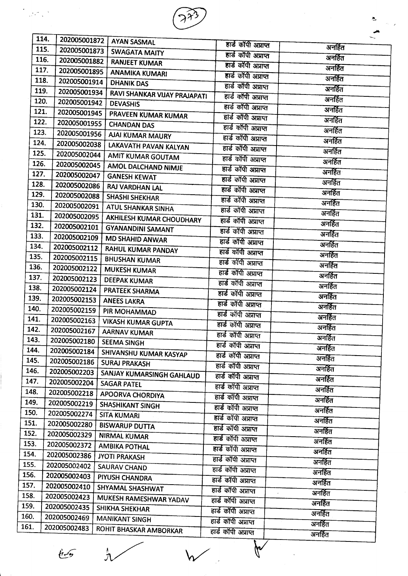

| 114. | 202005001872                 | <b>AYAN SASMAL</b>                         | हार्ड कॉपी अप्राप्त  |         |
|------|------------------------------|--------------------------------------------|----------------------|---------|
| 115. | 202005001873                 | <b>SWAGATA MAITY</b>                       | हार्ड कॉपी अप्राप्त  | अनर्हित |
| 116. | 202005001882                 | <b>RANJEET KUMAR</b>                       | हार्ड कॉपी अप्राप्त  | अनर्हित |
| 117. | 202005001895                 | <b>ANAMIKA KUMARI</b>                      | हार्ड कॉपी अप्राप्त  | अनर्हित |
| 118. | 202005001914                 | <b>DHANIK DAS</b>                          | हार्ड कॉपी अप्राप्त  | अनर्हित |
| 119. | 202005001934                 | RAVI SHANKAR VIJAY PRAJAPATI               | हार्ड कॉपी अप्राप्त  | अनर्हित |
| 120. | 202005001942                 | <b>DEVASHIS</b>                            | हार्ड कॉपी अप्राप्त  | अनहित   |
| 121. | 202005001945                 | PRAVEEN KUMAR KUMAR                        | हार्ड कॉपी अप्राप्त  | अनर्हित |
| 122. | 202005001955                 | <b>CHANDAN DAS</b>                         | हार्ड कॉपी अप्राप्त  | अनर्हित |
| 123. | 202005001956                 | AJAI KUMAR MAURY                           |                      | अनर्हित |
| 124. | 202005002038                 | LAKAVATH PAVAN KALYAN                      | हार्ड कॉपी अप्राप्त  | अनर्हित |
| 125. | 202005002044                 | AMIT KUMAR GOUTAM                          | हार्ड कॉपी अप्राप्त  | अनर्हित |
| 126. | 202005002045                 | AMOL DALCHAND NIMJE                        | हार्ड कॉपी अप्राप्त  | अनर्हित |
| 127. | 202005002047                 | <b>GANESH KEWAT</b>                        | हार्ड कॉपी अप्राप्त  | अनर्हित |
| 128. | 202005002086                 | RAJ VARDHAN LAL                            | हार्ड कॉपी अप्राप्त  | अनहित   |
| 129. | 202005002088                 | <b>SHASHI SHEKHAR</b>                      | हार्ड कॉपी अप्राप्त  | अनर्हित |
| 130. | 202005002091                 | ATUL SHANKAR SINHA                         | हार्ड कॉपी अप्राप्त  | अनर्हित |
| 131. | 202005002095                 | AKHILESH KUMAR CHOUDHARY                   | हार्ड कॉपी अप्राप्त  | अनर्हित |
| 132. | 202005002101                 | <b>GYANANDINI SAMANT</b>                   | हार्ड कॉपी अप्राप्त  | अनर्हित |
| 133. | 202005002109                 | <b>MD SHAHID ANWAR</b>                     | हार्ड कॉपी अप्राप्त  | अनर्हित |
| 134. | 202005002112                 |                                            | हार्ड कॉपी अप्राप्त  | अनहित   |
| 135. | 202005002115                 | RAHUL KUMAR PANDAY<br><b>BHUSHAN KUMAR</b> | हार्ड कॉपी अप्राप्त  | अनर्हित |
| 136. | 202005002122                 | <b>MUKESH KUMAR</b>                        | हार्ड कॉपी अप्राप्त  | अनर्हित |
| 137. | 202005002123                 | <b>DEEPAK KUMAR</b>                        | हार्ड काँपी अप्राप्त | अनर्हित |
| 138. | 202005002124                 | PRATEEK SHARMA                             | हार्ड कॉपी अप्राप्त  | अनर्हित |
| 139. | 202005002153                 | <b>ANEES LAKRA</b>                         | हार्ड कॉपी अप्राप्त  | अनर्हित |
| 140. | 202005002159                 |                                            | हार्ड कॉपी अप्राप्त  | अनर्हित |
| 141. | 202005002163                 | PIR MOHAMMAD                               | हार्ड कॉपी अप्राप्त  | अनर्हित |
| 142. | 202005002167                 | <b>VIKASH KUMAR GUPTA</b>                  | हार्ड कॉपी अप्राप्त  | अनर्हित |
| 143. | 202005002180                 | <b>AARNAV KUMAR</b>                        | हार्ड कॉपी अप्राप्त  | अनर्हित |
| 144. | 202005002184                 | <b>SEEMA SINGH</b>                         | हार्ड कॉपी अप्राप्त  | अनर्हित |
| 145. | 202005002186                 | SHIVANSHU KUMAR KASYAP                     | हार्ड कॉपी अप्राप्त  | अनर्हित |
| 146. | 202005002203                 | <b>SURAJ PRAKASH</b>                       | हार्ड कॉपी अप्राप्त  | अनहित   |
| 147. | 202005002204                 | SANJAY KUMARSINGH GAHLAUD                  | हार्ड कॉपी अप्राप्त  | अनर्हित |
| 148. | 202005002218                 | <b>SAGAR PATEL</b>                         | हार्ड काँपी अप्राप्त | अनर्हित |
| 149. | 202005002219                 | <b>APOORVA CHORDIYA</b>                    | हार्ड कॉपी अप्राप्त  | अनर्हित |
| 150. | 202005002274                 | <b>SHASHIKANT SINGH</b>                    | हार्ड कॉपी अप्राप्त  | अनर्हित |
| 151. | 202005002280                 | <b>SITA KUMARI</b>                         | हार्ड कॉपी अप्राप्त  | अनहित   |
| 152. | 202005002329                 | <b>BISWARUP DUTTA</b>                      | हार्ड कॉपी अप्राप्त  | अनर्हित |
| 153. | 202005002372                 | <b>NIRMAL KUMAR</b>                        | हार्ड कॉपी अप्राप्त  | अनहित   |
| 154. | 202005002386                 | <b>AMBIKA POTHAL</b>                       | हार्ड कॉपी अप्राप्त  | अनर्हित |
| 155. | 202005002402                 | <b>JYOTI PRAKASH</b>                       | हार्ड कॉपी अप्राप्त  | अनहित   |
| 156. | 202005002403                 | SAURAV CHAND                               | हार्ड कॉपी अप्राप्त  | अनर्हित |
| 157. |                              | PIYUSH CHANDRA                             | हार्ड कॉपी अप्राप्त  | अनहित   |
| 158. | 202005002410<br>202005002423 | SHYAMAL SHASHWAT                           | हार्ड कॉपी अप्राप्त  | अनहित   |
| 159. |                              | MUKESH RAMESHWAR YADAV                     | हार्ड कॉपी अप्राप्त  | अनर्हित |
| 160. | 202005002435<br>202005002469 | <b>SHIKHA SHEKHAR</b>                      | हार्ड कॉपी अप्राप्त  | अनहित   |
| 161. | 202005002483                 | <b>MANIKANT SINGH</b>                      | हार्ड कॉपी अप्राप्त  | अनर्हित |
|      |                              | ROHIT BHASKAR AMBORKAR                     | हार्ड कॉपी अप्राप्त  | अनर्हित |

Ŋ

 $i\epsilon$ 

ار<br>ز